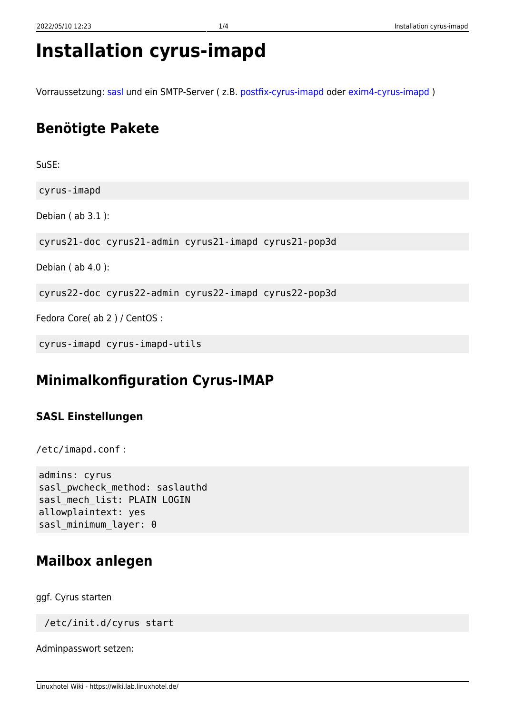# **Installation cyrus-imapd**

Vorraussetzung: [sasl](https://wiki.lab.linuxhotel.de/doku.php/lpi2:sasl) und ein SMTP-Server ( z.B. [postfix-cyrus-imapd](https://wiki.lab.linuxhotel.de/doku.php/lpi2:postfix-cyrus-imapd) oder [exim4-cyrus-imapd](https://wiki.lab.linuxhotel.de/doku.php/lpi2:exim4-cyrus-imapd) )

# **Benötigte Pakete**

SuSE:

cyrus-imapd

Debian ( ab 3.1 ):

cyrus21-doc cyrus21-admin cyrus21-imapd cyrus21-pop3d

Debian ( ab 4.0 ):

cyrus22-doc cyrus22-admin cyrus22-imapd cyrus22-pop3d

Fedora Core( ab 2 ) / CentOS :

```
cyrus-imapd cyrus-imapd-utils
```
# **Minimalkonfiguration Cyrus-IMAP**

### **SASL Einstellungen**

/etc/imapd.conf :

```
admins: cyrus
sasl pwcheck method: saslauthd
sasl mech list: PLAIN LOGIN
allowplaintext: yes
sasl minimum layer: 0
```
# **Mailbox anlegen**

ggf. Cyrus starten

/etc/init.d/cyrus start

Adminpasswort setzen: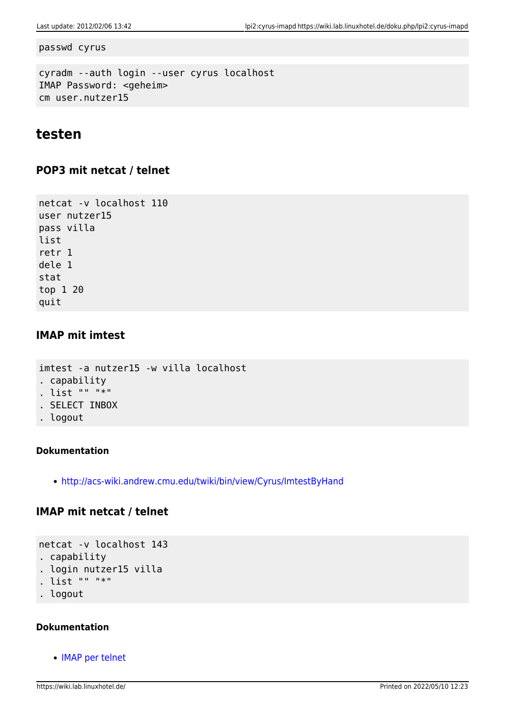passwd cyrus

```
cyradm --auth login --user cyrus localhost
IMAP Password: <geheim>
cm user.nutzer15
```
### **testen**

#### **POP3 mit netcat / telnet**

netcat -v localhost 110 user nutzer15 pass villa list retr 1 dele 1 stat top 1 20 quit

#### **IMAP mit imtest**

imtest -a nutzer15 -w villa localhost . capability . list "" "\*" . SELECT INBOX . logout

#### **Dokumentation**

<http://acs-wiki.andrew.cmu.edu/twiki/bin/view/Cyrus/ImtestByHand>

#### **IMAP mit netcat / telnet**

```
netcat -v localhost 143
. capability
. login nutzer15 villa
. list "" "*"
. logout
```
#### **Dokumentation**

[IMAP per telnet](http://www.bobpeers.com/technical/telnet_imap)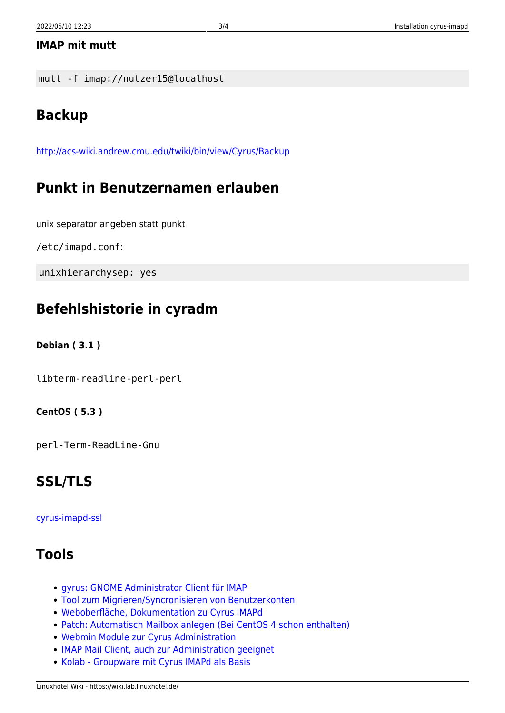#### **IMAP mit mutt**

mutt -f imap://nutzer15@localhost

## **Backup**

<http://acs-wiki.andrew.cmu.edu/twiki/bin/view/Cyrus/Backup>

### **Punkt in Benutzernamen erlauben**

unix separator angeben statt punkt

/etc/imapd.conf:

unixhierarchysep: yes

### **Befehlshistorie in cyradm**

#### **Debian ( 3.1 )**

libterm-readline-perl-perl

#### **CentOS ( 5.3 )**

perl-Term-ReadLine-Gnu

### **SSL/TLS**

[cyrus-imapd-ssl](https://wiki.lab.linuxhotel.de/doku.php/lpi2:cyrus-imapd-ssl)

### **Tools**

- [gyrus: GNOME Administrator Client für IMAP](http://projects.gnome.org/gyrus/)
- [Tool zum Migrieren/Syncronisieren von Benutzerkonten](http://freshmeat.net/projects/imapsync/)
- [Weboberfläche, Dokumentation zu Cyrus IMAPd](http://www.web-cyradm.org/docs.html)
- [Patch: Automatisch Mailbox anlegen \(Bei CentOS 4 schon enthalten\)](http://email.uoa.gr/projects/cyrus/autocreate/)
- [Webmin Module zur Cyrus Administration](http://www.tecchio.net/webmin/cyrus/)
- [IMAP Mail Client, auch zur Administration geeignet](http://www.mulberrymail.com/)
- [Kolab Groupware mit Cyrus IMAPd als Basis](http://kolab.org/)